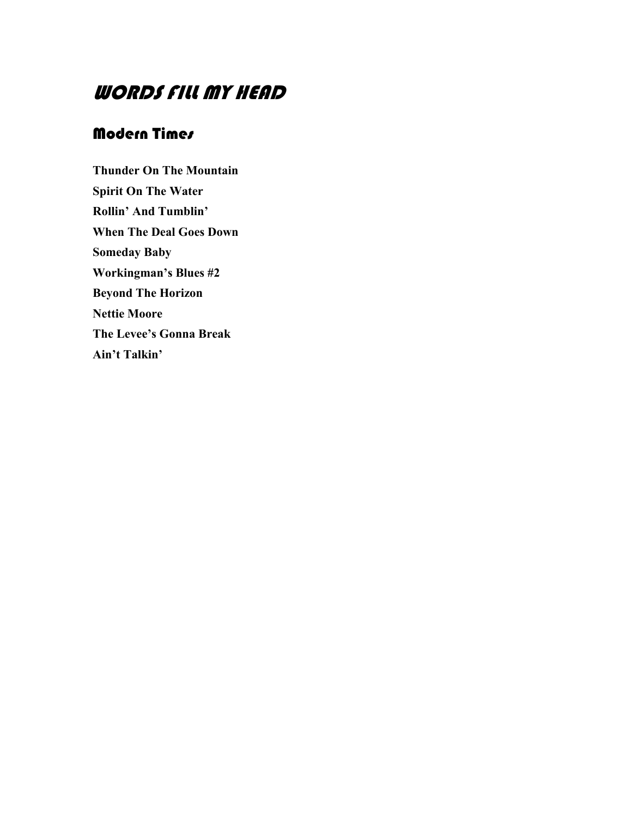# WORDS FILL MY HEAD

### Modern Times

**Thunder On The Mountain Spirit On The Water Rollin' And Tumblin' When The Deal Goes Down Someday Baby Workingman's Blues #2 Beyond The Horizon Nettie Moore The Levee's Gonna Break Ain't Talkin'**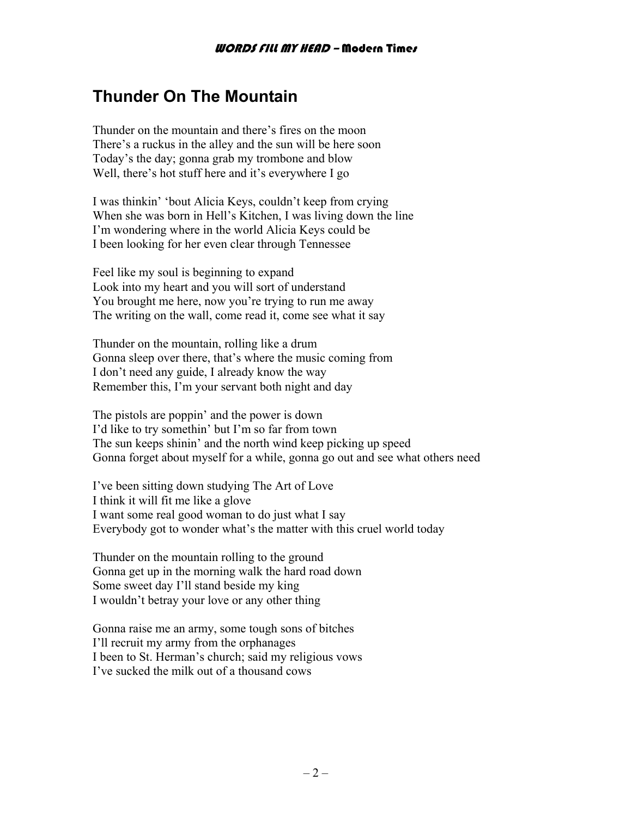## **Thunder On The Mountain**

Thunder on the mountain and there's fires on the moon There's a ruckus in the alley and the sun will be here soon Today's the day; gonna grab my trombone and blow Well, there's hot stuff here and it's everywhere I go

I was thinkin' 'bout Alicia Keys, couldn't keep from crying When she was born in Hell's Kitchen, I was living down the line I'm wondering where in the world Alicia Keys could be I been looking for her even clear through Tennessee

Feel like my soul is beginning to expand Look into my heart and you will sort of understand You brought me here, now you're trying to run me away The writing on the wall, come read it, come see what it say

Thunder on the mountain, rolling like a drum Gonna sleep over there, that's where the music coming from I don't need any guide, I already know the way Remember this, I'm your servant both night and day

The pistols are poppin' and the power is down I'd like to try somethin' but I'm so far from town The sun keeps shinin' and the north wind keep picking up speed Gonna forget about myself for a while, gonna go out and see what others need

I've been sitting down studying The Art of Love I think it will fit me like a glove I want some real good woman to do just what I say Everybody got to wonder what's the matter with this cruel world today

Thunder on the mountain rolling to the ground Gonna get up in the morning walk the hard road down Some sweet day I'll stand beside my king I wouldn't betray your love or any other thing

Gonna raise me an army, some tough sons of bitches I'll recruit my army from the orphanages I been to St. Herman's church; said my religious vows I've sucked the milk out of a thousand cows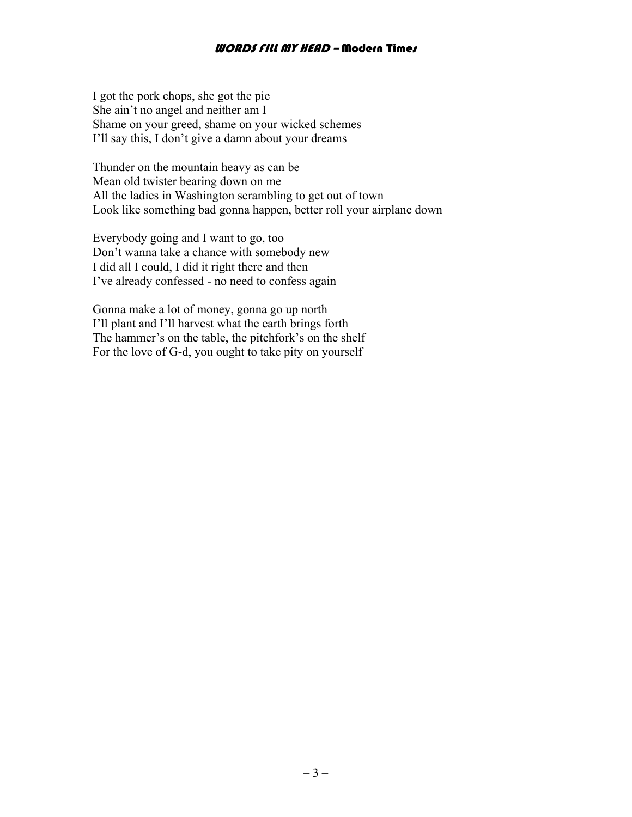I got the pork chops, she got the pie She ain't no angel and neither am I Shame on your greed, shame on your wicked schemes I'll say this, I don't give a damn about your dreams

Thunder on the mountain heavy as can be Mean old twister bearing down on me All the ladies in Washington scrambling to get out of town Look like something bad gonna happen, better roll your airplane down

Everybody going and I want to go, too Don't wanna take a chance with somebody new I did all I could, I did it right there and then I've already confessed - no need to confess again

Gonna make a lot of money, gonna go up north I'll plant and I'll harvest what the earth brings forth The hammer's on the table, the pitchfork's on the shelf For the love of G-d, you ought to take pity on yourself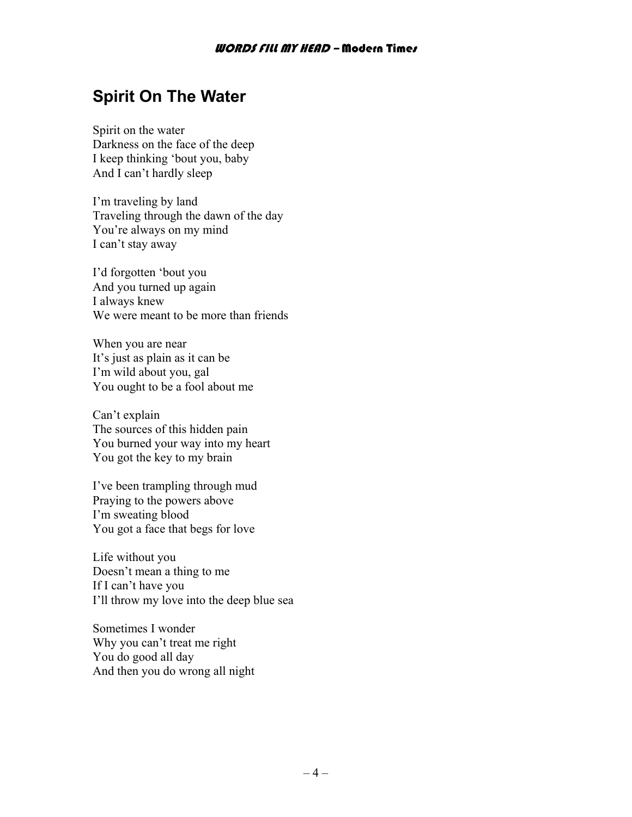## **Spirit On The Water**

Spirit on the water Darkness on the face of the deep I keep thinking 'bout you, baby And I can't hardly sleep

I'm traveling by land Traveling through the dawn of the day You're always on my mind I can't stay away

I'd forgotten 'bout you And you turned up again I always knew We were meant to be more than friends

When you are near It's just as plain as it can be I'm wild about you, gal You ought to be a fool about me

Can't explain The sources of this hidden pain You burned your way into my heart You got the key to my brain

I've been trampling through mud Praying to the powers above I'm sweating blood You got a face that begs for love

Life without you Doesn't mean a thing to me If I can't have you I'll throw my love into the deep blue sea

Sometimes I wonder Why you can't treat me right You do good all day And then you do wrong all night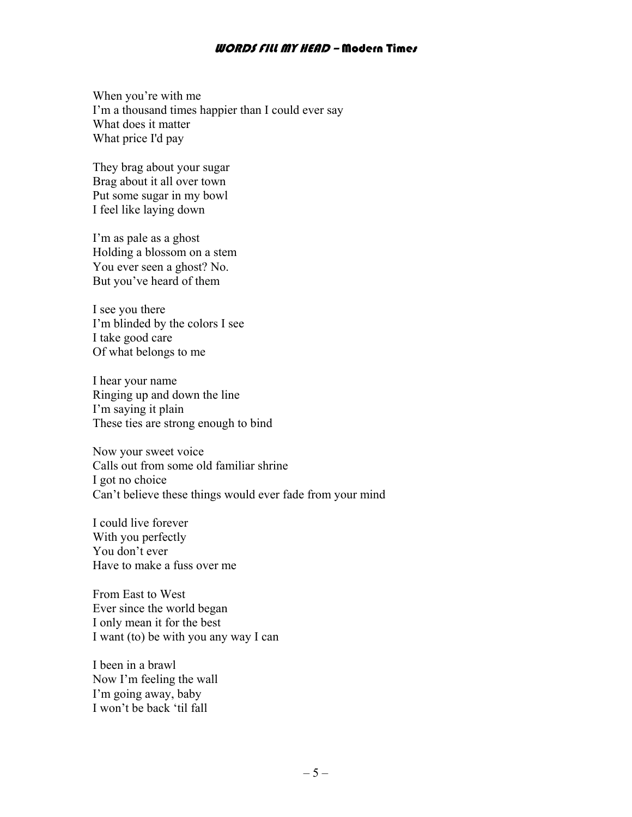When you're with me I'm a thousand times happier than I could ever say What does it matter What price I'd pay

They brag about your sugar Brag about it all over town Put some sugar in my bowl I feel like laying down

I'm as pale as a ghost Holding a blossom on a stem You ever seen a ghost? No. But you've heard of them

I see you there I'm blinded by the colors I see I take good care Of what belongs to me

I hear your name Ringing up and down the line I'm saying it plain These ties are strong enough to bind

Now your sweet voice Calls out from some old familiar shrine I got no choice Can't believe these things would ever fade from your mind

I could live forever With you perfectly You don't ever Have to make a fuss over me

From East to West Ever since the world began I only mean it for the best I want (to) be with you any way I can

I been in a brawl Now I'm feeling the wall I'm going away, baby I won't be back 'til fall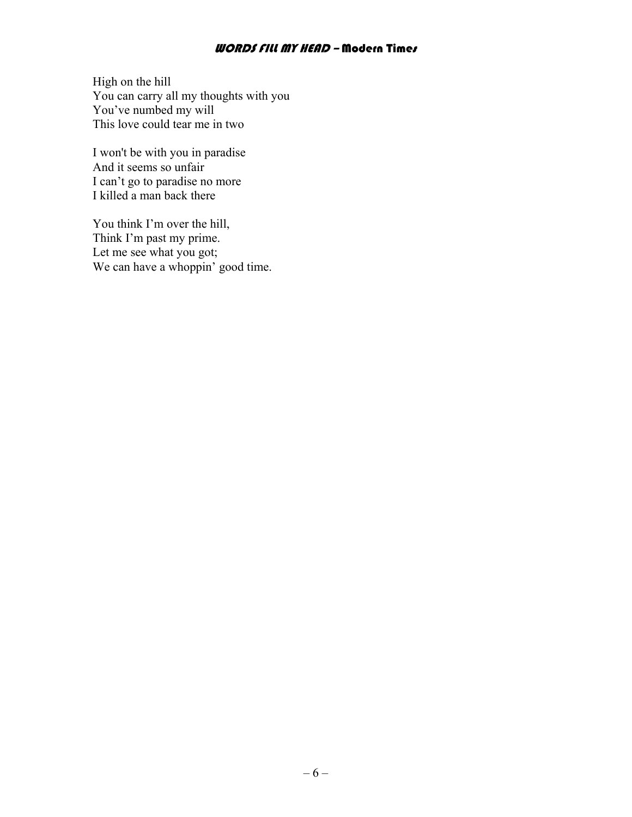High on the hill You can carry all my thoughts with you You've numbed my will This love could tear me in two

I won't be with you in paradise And it seems so unfair I can't go to paradise no more I killed a man back there

You think I'm over the hill, Think I'm past my prime. Let me see what you got; We can have a whoppin' good time.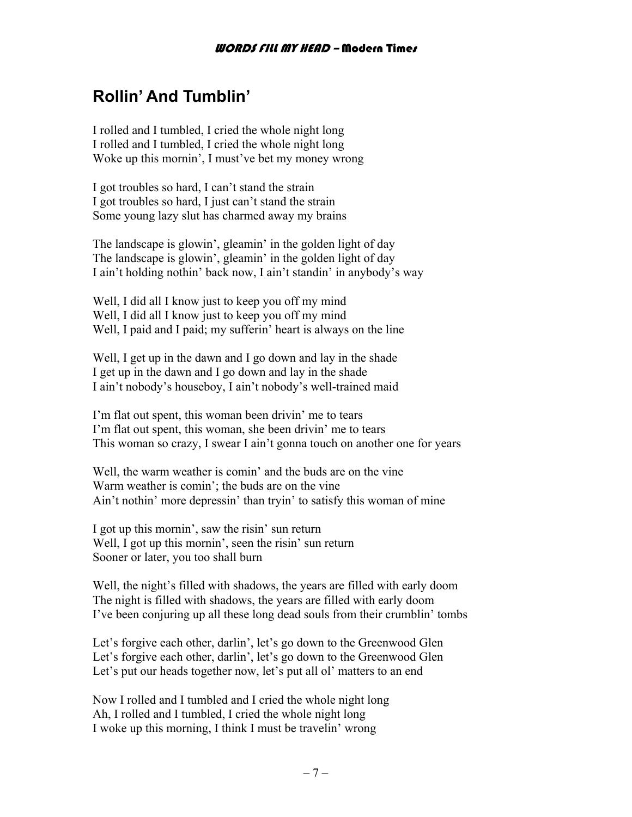## **Rollin' And Tumblin'**

I rolled and I tumbled, I cried the whole night long I rolled and I tumbled, I cried the whole night long Woke up this mornin', I must've bet my money wrong

I got troubles so hard, I can't stand the strain I got troubles so hard, I just can't stand the strain Some young lazy slut has charmed away my brains

The landscape is glowin', gleamin' in the golden light of day The landscape is glowin', gleamin' in the golden light of day I ain't holding nothin' back now, I ain't standin' in anybody's way

Well, I did all I know just to keep you off my mind Well, I did all I know just to keep you off my mind Well, I paid and I paid; my sufferin' heart is always on the line

Well, I get up in the dawn and I go down and lay in the shade I get up in the dawn and I go down and lay in the shade I ain't nobody's houseboy, I ain't nobody's well-trained maid

I'm flat out spent, this woman been drivin' me to tears I'm flat out spent, this woman, she been drivin' me to tears This woman so crazy, I swear I ain't gonna touch on another one for years

Well, the warm weather is comin' and the buds are on the vine Warm weather is comin'; the buds are on the vine Ain't nothin' more depressin' than tryin' to satisfy this woman of mine

I got up this mornin', saw the risin' sun return Well, I got up this mornin', seen the risin' sun return Sooner or later, you too shall burn

Well, the night's filled with shadows, the years are filled with early doom The night is filled with shadows, the years are filled with early doom I've been conjuring up all these long dead souls from their crumblin' tombs

Let's forgive each other, darlin', let's go down to the Greenwood Glen Let's forgive each other, darlin', let's go down to the Greenwood Glen Let's put our heads together now, let's put all ol' matters to an end

Now I rolled and I tumbled and I cried the whole night long Ah, I rolled and I tumbled, I cried the whole night long I woke up this morning, I think I must be travelin' wrong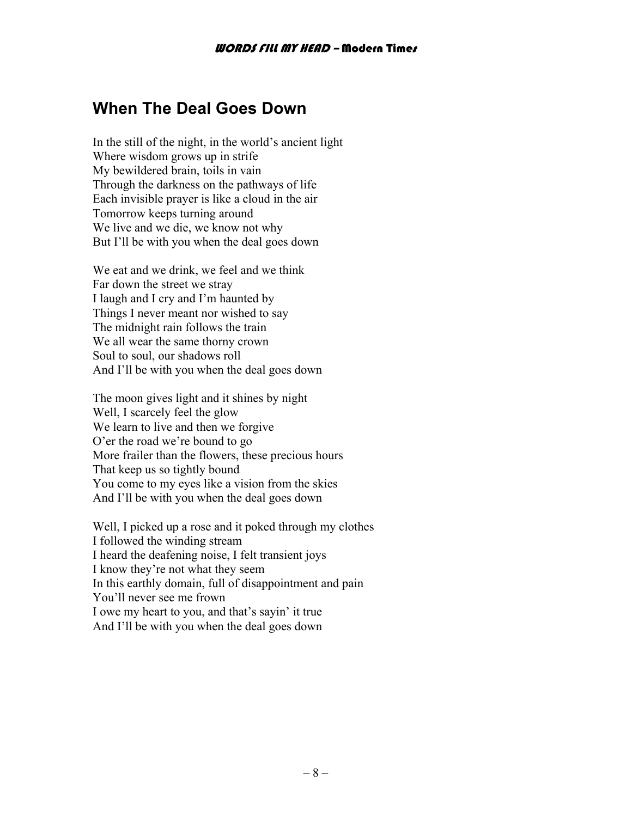### **When The Deal Goes Down**

In the still of the night, in the world's ancient light Where wisdom grows up in strife My bewildered brain, toils in vain Through the darkness on the pathways of life Each invisible prayer is like a cloud in the air Tomorrow keeps turning around We live and we die, we know not why But I'll be with you when the deal goes down

We eat and we drink, we feel and we think Far down the street we stray I laugh and I cry and I'm haunted by Things I never meant nor wished to say The midnight rain follows the train We all wear the same thorny crown Soul to soul, our shadows roll And I'll be with you when the deal goes down

The moon gives light and it shines by night Well, I scarcely feel the glow We learn to live and then we forgive O'er the road we're bound to go More frailer than the flowers, these precious hours That keep us so tightly bound You come to my eyes like a vision from the skies And I'll be with you when the deal goes down

Well, I picked up a rose and it poked through my clothes I followed the winding stream I heard the deafening noise, I felt transient joys I know they're not what they seem In this earthly domain, full of disappointment and pain You'll never see me frown I owe my heart to you, and that's sayin' it true And I'll be with you when the deal goes down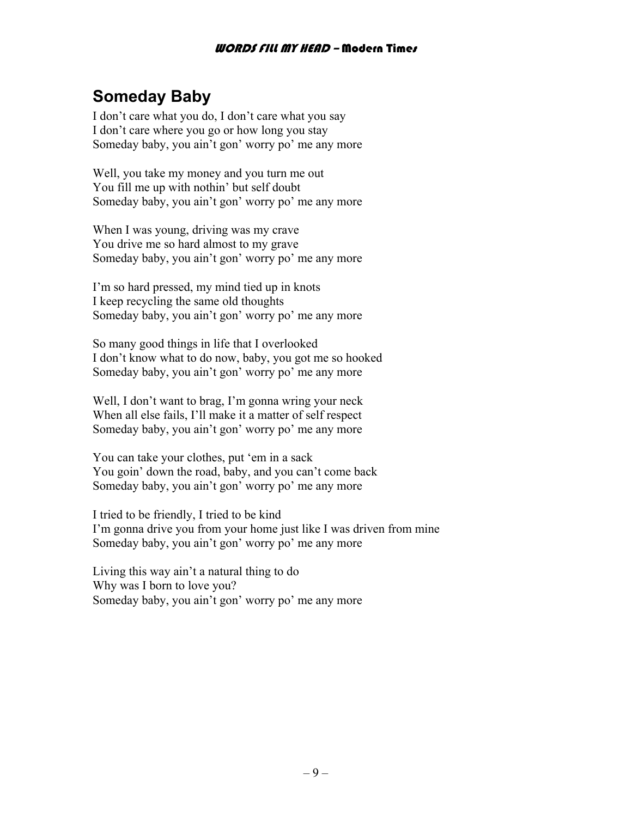## **Someday Baby**

I don't care what you do, I don't care what you say I don't care where you go or how long you stay Someday baby, you ain't gon' worry po' me any more

Well, you take my money and you turn me out You fill me up with nothin' but self doubt Someday baby, you ain't gon' worry po' me any more

When I was young, driving was my crave You drive me so hard almost to my grave Someday baby, you ain't gon' worry po' me any more

I'm so hard pressed, my mind tied up in knots I keep recycling the same old thoughts Someday baby, you ain't gon' worry po' me any more

So many good things in life that I overlooked I don't know what to do now, baby, you got me so hooked Someday baby, you ain't gon' worry po' me any more

Well, I don't want to brag, I'm gonna wring your neck When all else fails, I'll make it a matter of self respect Someday baby, you ain't gon' worry po' me any more

You can take your clothes, put 'em in a sack You goin' down the road, baby, and you can't come back Someday baby, you ain't gon' worry po' me any more

I tried to be friendly, I tried to be kind I'm gonna drive you from your home just like I was driven from mine Someday baby, you ain't gon' worry po' me any more

Living this way ain't a natural thing to do Why was I born to love you? Someday baby, you ain't gon' worry po' me any more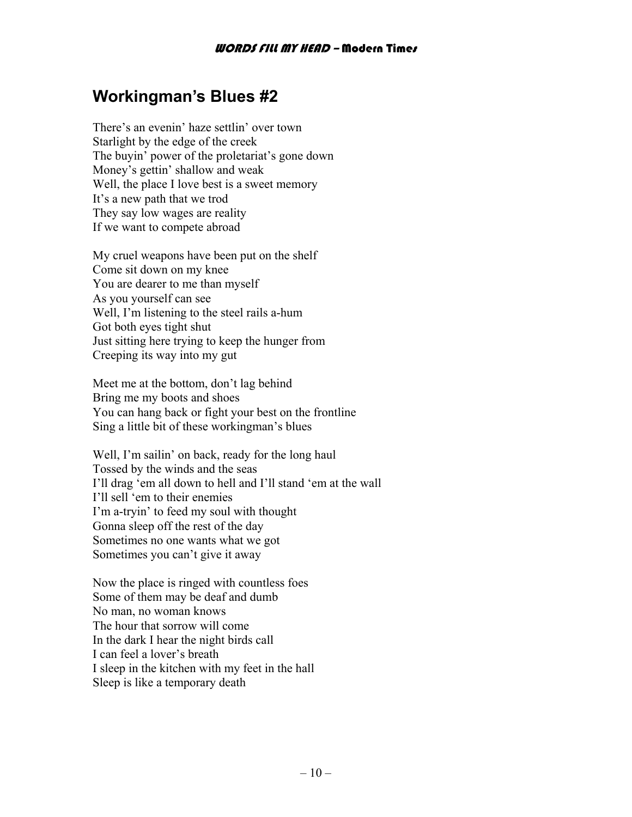### **Workingman's Blues #2**

There's an evenin' haze settlin' over town Starlight by the edge of the creek The buyin' power of the proletariat's gone down Money's gettin' shallow and weak Well, the place I love best is a sweet memory It's a new path that we trod They say low wages are reality If we want to compete abroad

My cruel weapons have been put on the shelf Come sit down on my knee You are dearer to me than myself As you yourself can see Well, I'm listening to the steel rails a-hum Got both eyes tight shut Just sitting here trying to keep the hunger from Creeping its way into my gut

Meet me at the bottom, don't lag behind Bring me my boots and shoes You can hang back or fight your best on the frontline Sing a little bit of these workingman's blues

Well, I'm sailin' on back, ready for the long haul Tossed by the winds and the seas I'll drag 'em all down to hell and I'll stand 'em at the wall I'll sell 'em to their enemies I'm a-tryin' to feed my soul with thought Gonna sleep off the rest of the day Sometimes no one wants what we got Sometimes you can't give it away

Now the place is ringed with countless foes Some of them may be deaf and dumb No man, no woman knows The hour that sorrow will come In the dark I hear the night birds call I can feel a lover's breath I sleep in the kitchen with my feet in the hall Sleep is like a temporary death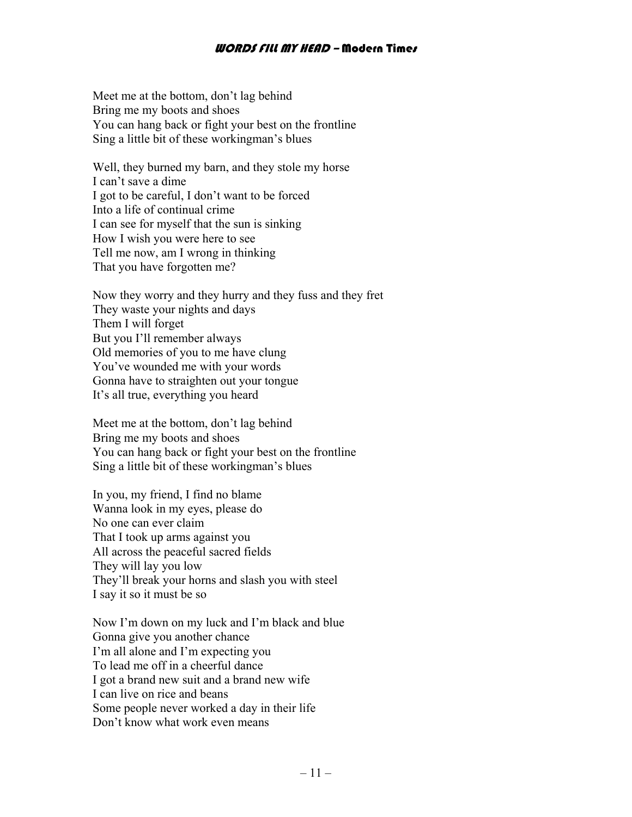Meet me at the bottom, don't lag behind Bring me my boots and shoes You can hang back or fight your best on the frontline Sing a little bit of these workingman's blues

Well, they burned my barn, and they stole my horse I can't save a dime I got to be careful, I don't want to be forced Into a life of continual crime I can see for myself that the sun is sinking How I wish you were here to see Tell me now, am I wrong in thinking That you have forgotten me?

Now they worry and they hurry and they fuss and they fret They waste your nights and days Them I will forget But you I'll remember always Old memories of you to me have clung You've wounded me with your words Gonna have to straighten out your tongue It's all true, everything you heard

Meet me at the bottom, don't lag behind Bring me my boots and shoes You can hang back or fight your best on the frontline Sing a little bit of these workingman's blues

In you, my friend, I find no blame Wanna look in my eyes, please do No one can ever claim That I took up arms against you All across the peaceful sacred fields They will lay you low They'll break your horns and slash you with steel I say it so it must be so

Now I'm down on my luck and I'm black and blue Gonna give you another chance I'm all alone and I'm expecting you To lead me off in a cheerful dance I got a brand new suit and a brand new wife I can live on rice and beans Some people never worked a day in their life Don't know what work even means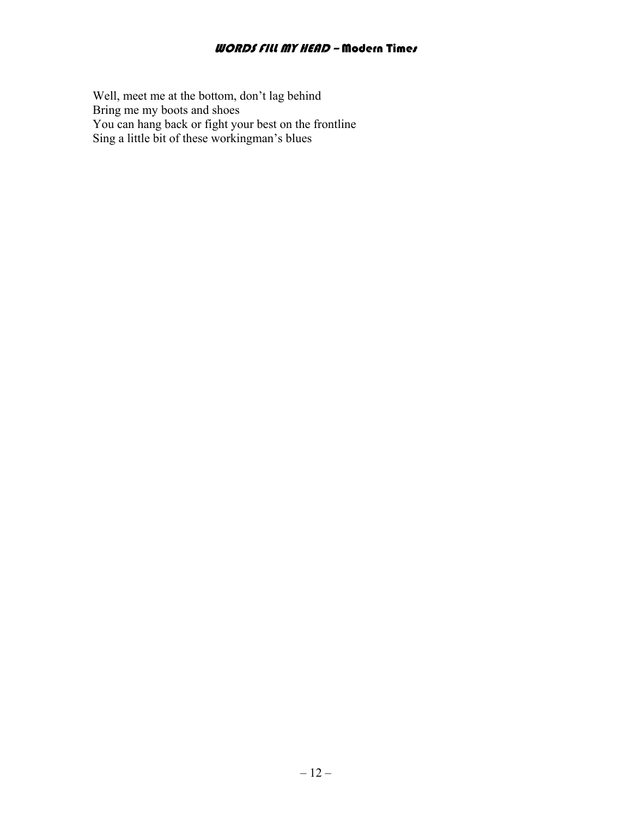Well, meet me at the bottom, don't lag behind Bring me my boots and shoes You can hang back or fight your best on the frontline Sing a little bit of these workingman's blues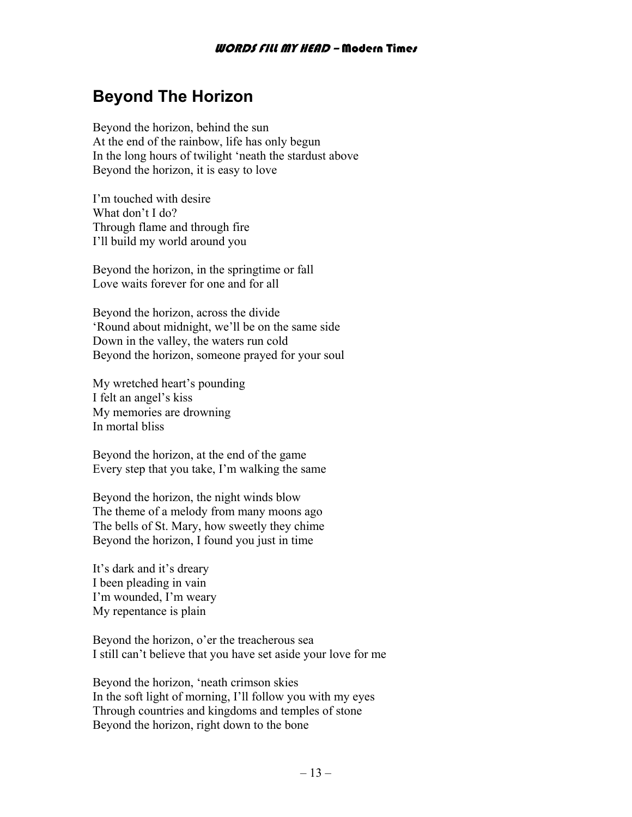## **Beyond The Horizon**

Beyond the horizon, behind the sun At the end of the rainbow, life has only begun In the long hours of twilight 'neath the stardust above Beyond the horizon, it is easy to love

I'm touched with desire What don't I do? Through flame and through fire I'll build my world around you

Beyond the horizon, in the springtime or fall Love waits forever for one and for all

Beyond the horizon, across the divide 'Round about midnight, we'll be on the same side Down in the valley, the waters run cold Beyond the horizon, someone prayed for your soul

My wretched heart's pounding I felt an angel's kiss My memories are drowning In mortal bliss

Beyond the horizon, at the end of the game Every step that you take, I'm walking the same

Beyond the horizon, the night winds blow The theme of a melody from many moons ago The bells of St. Mary, how sweetly they chime Beyond the horizon, I found you just in time

It's dark and it's dreary I been pleading in vain I'm wounded, I'm weary My repentance is plain

Beyond the horizon, o'er the treacherous sea I still can't believe that you have set aside your love for me

Beyond the horizon, 'neath crimson skies In the soft light of morning, I'll follow you with my eyes Through countries and kingdoms and temples of stone Beyond the horizon, right down to the bone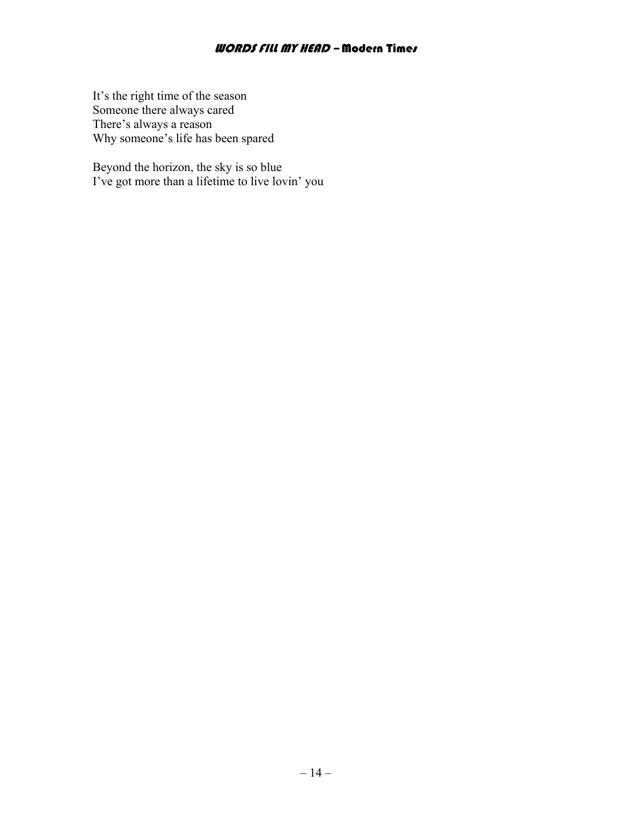It's the right time of the season Someone there always cared There's always a reason Why someone's life has been spared

Beyond the horizon, the sky is so blue I've got more than a lifetime to live lovin' you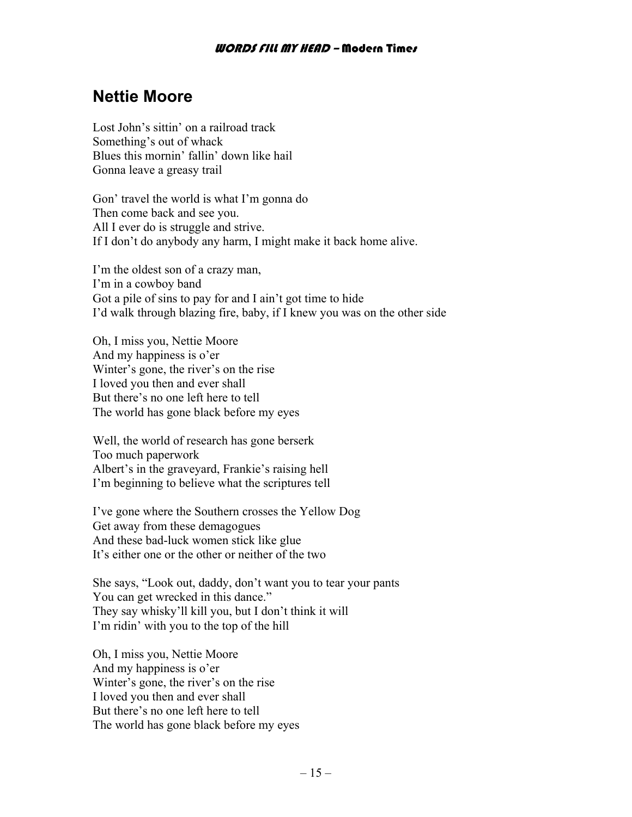### **Nettie Moore**

Lost John's sittin' on a railroad track Something's out of whack Blues this mornin' fallin' down like hail Gonna leave a greasy trail

Gon' travel the world is what I'm gonna do Then come back and see you. All I ever do is struggle and strive. If I don't do anybody any harm, I might make it back home alive.

I'm the oldest son of a crazy man, I'm in a cowboy band Got a pile of sins to pay for and I ain't got time to hide I'd walk through blazing fire, baby, if I knew you was on the other side

Oh, I miss you, Nettie Moore And my happiness is o'er Winter's gone, the river's on the rise I loved you then and ever shall But there's no one left here to tell The world has gone black before my eyes

Well, the world of research has gone berserk Too much paperwork Albert's in the graveyard, Frankie's raising hell I'm beginning to believe what the scriptures tell

I've gone where the Southern crosses the Yellow Dog Get away from these demagogues And these bad-luck women stick like glue It's either one or the other or neither of the two

She says, "Look out, daddy, don't want you to tear your pants You can get wrecked in this dance." They say whisky'll kill you, but I don't think it will I'm ridin' with you to the top of the hill

Oh, I miss you, Nettie Moore And my happiness is o'er Winter's gone, the river's on the rise I loved you then and ever shall But there's no one left here to tell The world has gone black before my eyes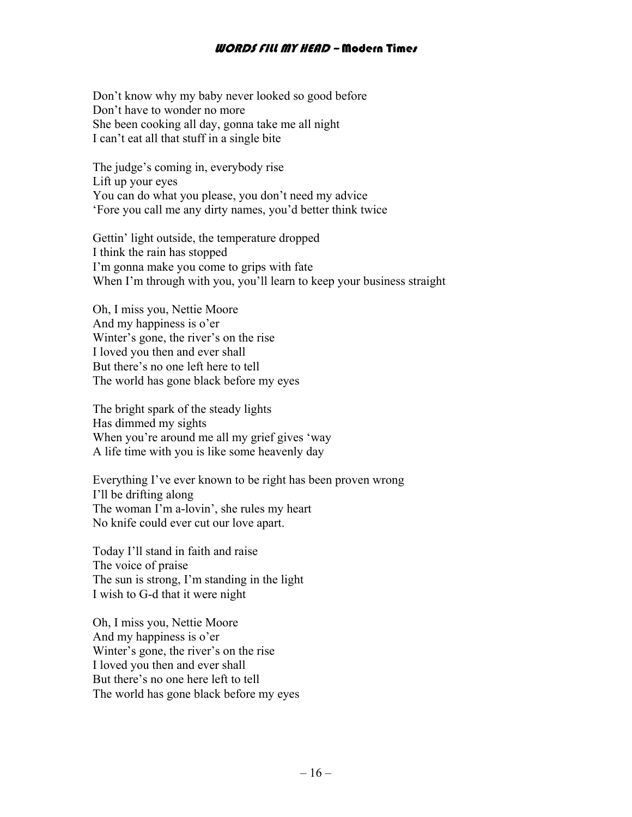Don't know why my baby never looked so good before Don't have to wonder no more She been cooking all day, gonna take me all night I can't eat all that stuff in a single bite

The judge's coming in, everybody rise Lift up your eyes You can do what you please, you don't need my advice 'Fore you call me any dirty names, you'd better think twice

Gettin' light outside, the temperature dropped I think the rain has stopped I'm gonna make you come to grips with fate When I'm through with you, you'll learn to keep your business straight

Oh, I miss you, Nettie Moore And my happiness is o'er Winter's gone, the river's on the rise I loved you then and ever shall But there's no one left here to tell The world has gone black before my eyes

The bright spark of the steady lights Has dimmed my sights When you're around me all my grief gives 'way A life time with you is like some heavenly day

Everything I've ever known to be right has been proven wrong I'll be drifting along The woman I'm a-lovin', she rules my heart No knife could ever cut our love apart.

Today I'll stand in faith and raise The voice of praise The sun is strong, I'm standing in the light I wish to G-d that it were night

Oh, I miss you, Nettie Moore And my happiness is o'er Winter's gone, the river's on the rise I loved you then and ever shall But there's no one here left to tell The world has gone black before my eyes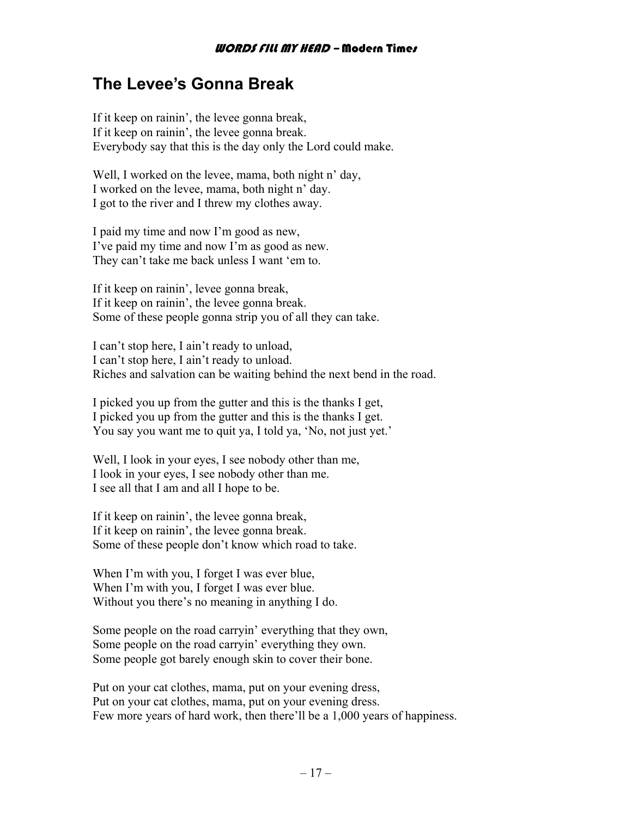### **The Levee's Gonna Break**

If it keep on rainin', the levee gonna break, If it keep on rainin', the levee gonna break. Everybody say that this is the day only the Lord could make.

Well, I worked on the levee, mama, both night n' day, I worked on the levee, mama, both night n' day. I got to the river and I threw my clothes away.

I paid my time and now I'm good as new, I've paid my time and now I'm as good as new. They can't take me back unless I want 'em to.

If it keep on rainin', levee gonna break, If it keep on rainin', the levee gonna break. Some of these people gonna strip you of all they can take.

I can't stop here, I ain't ready to unload, I can't stop here, I ain't ready to unload. Riches and salvation can be waiting behind the next bend in the road.

I picked you up from the gutter and this is the thanks I get, I picked you up from the gutter and this is the thanks I get. You say you want me to quit ya, I told ya, 'No, not just yet.'

Well, I look in your eyes, I see nobody other than me, I look in your eyes, I see nobody other than me. I see all that I am and all I hope to be.

If it keep on rainin', the levee gonna break, If it keep on rainin', the levee gonna break. Some of these people don't know which road to take.

When I'm with you, I forget I was ever blue, When I'm with you, I forget I was ever blue. Without you there's no meaning in anything I do.

Some people on the road carryin' everything that they own, Some people on the road carryin' everything they own. Some people got barely enough skin to cover their bone.

Put on your cat clothes, mama, put on your evening dress, Put on your cat clothes, mama, put on your evening dress. Few more years of hard work, then there'll be a 1,000 years of happiness.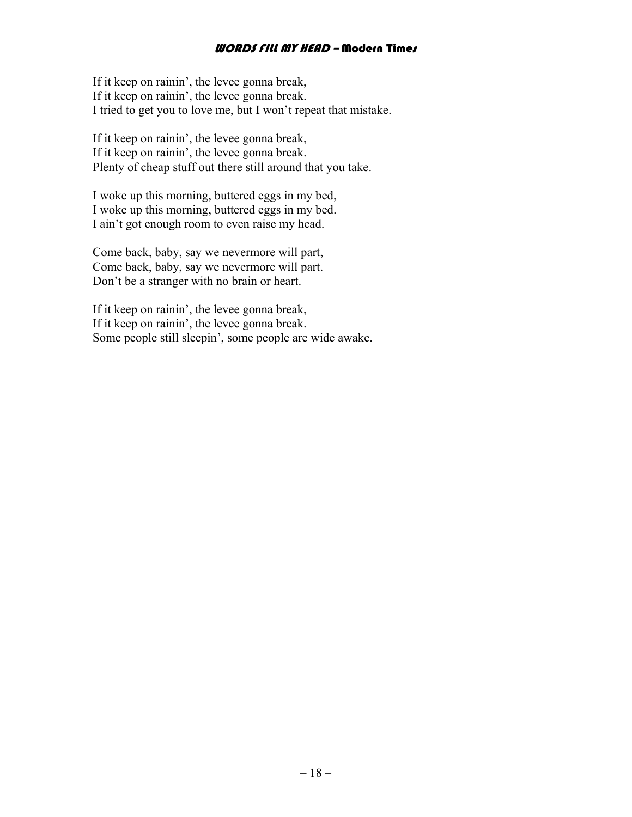If it keep on rainin', the levee gonna break, If it keep on rainin', the levee gonna break. I tried to get you to love me, but I won't repeat that mistake.

If it keep on rainin', the levee gonna break, If it keep on rainin', the levee gonna break. Plenty of cheap stuff out there still around that you take.

I woke up this morning, buttered eggs in my bed, I woke up this morning, buttered eggs in my bed. I ain't got enough room to even raise my head.

Come back, baby, say we nevermore will part, Come back, baby, say we nevermore will part. Don't be a stranger with no brain or heart.

If it keep on rainin', the levee gonna break, If it keep on rainin', the levee gonna break. Some people still sleepin', some people are wide awake.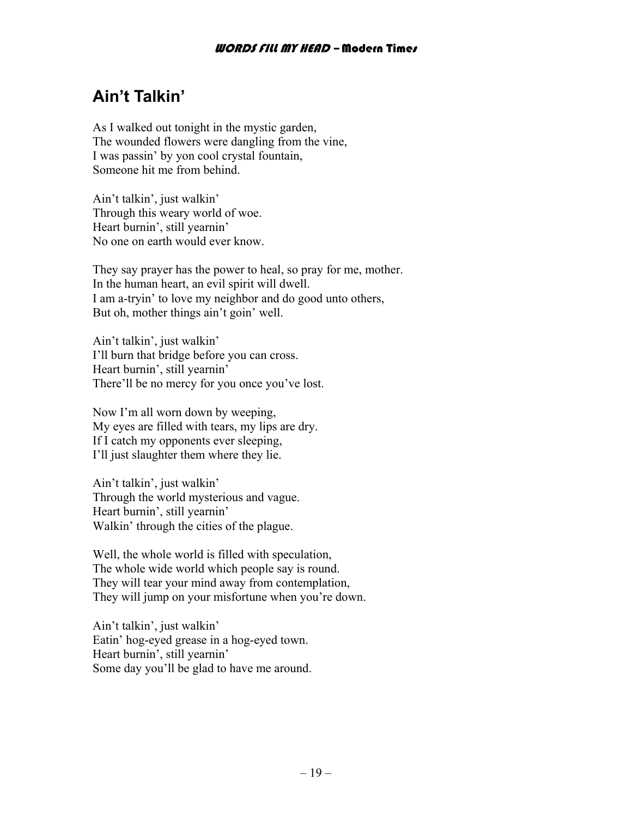## **Ain't Talkin'**

As I walked out tonight in the mystic garden, The wounded flowers were dangling from the vine, I was passin' by yon cool crystal fountain, Someone hit me from behind.

Ain't talkin', just walkin' Through this weary world of woe. Heart burnin', still yearnin' No one on earth would ever know.

They say prayer has the power to heal, so pray for me, mother. In the human heart, an evil spirit will dwell. I am a-tryin' to love my neighbor and do good unto others, But oh, mother things ain't goin' well.

Ain't talkin', just walkin' I'll burn that bridge before you can cross. Heart burnin', still yearnin' There'll be no mercy for you once you've lost.

Now I'm all worn down by weeping, My eyes are filled with tears, my lips are dry. If I catch my opponents ever sleeping, I'll just slaughter them where they lie.

Ain't talkin', just walkin' Through the world mysterious and vague. Heart burnin', still yearnin' Walkin' through the cities of the plague.

Well, the whole world is filled with speculation, The whole wide world which people say is round. They will tear your mind away from contemplation, They will jump on your misfortune when you're down.

Ain't talkin', just walkin' Eatin' hog-eyed grease in a hog-eyed town. Heart burnin', still yearnin' Some day you'll be glad to have me around.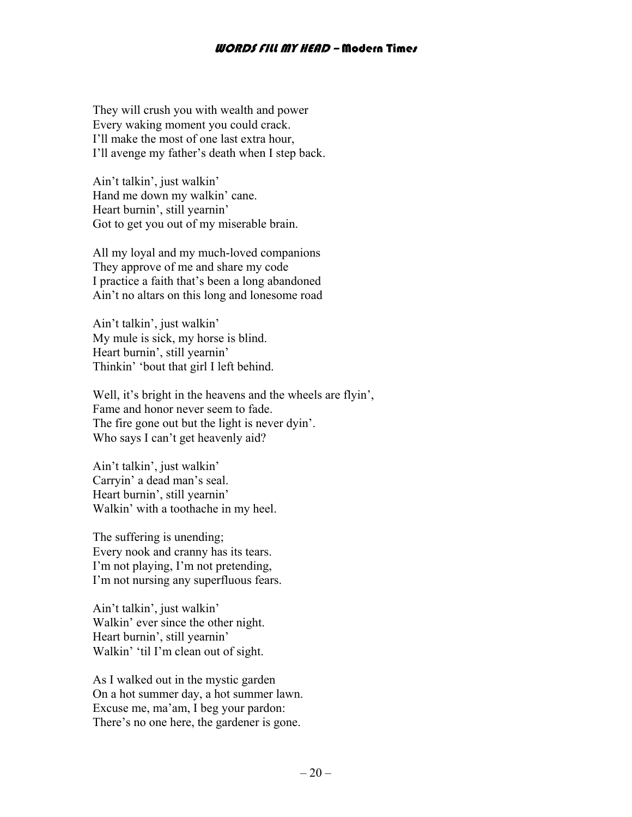They will crush you with wealth and power Every waking moment you could crack. I'll make the most of one last extra hour, I'll avenge my father's death when I step back.

Ain't talkin', just walkin' Hand me down my walkin' cane. Heart burnin', still yearnin' Got to get you out of my miserable brain.

All my loyal and my much-loved companions They approve of me and share my code I practice a faith that's been a long abandoned Ain't no altars on this long and lonesome road

Ain't talkin', just walkin' My mule is sick, my horse is blind. Heart burnin', still yearnin' Thinkin' 'bout that girl I left behind.

Well, it's bright in the heavens and the wheels are flyin', Fame and honor never seem to fade. The fire gone out but the light is never dyin'. Who says I can't get heavenly aid?

Ain't talkin', just walkin' Carryin' a dead man's seal. Heart burnin', still yearnin' Walkin' with a toothache in my heel.

The suffering is unending; Every nook and cranny has its tears. I'm not playing, I'm not pretending, I'm not nursing any superfluous fears.

Ain't talkin', just walkin' Walkin' ever since the other night. Heart burnin', still yearnin' Walkin' 'til I'm clean out of sight.

As I walked out in the mystic garden On a hot summer day, a hot summer lawn. Excuse me, ma'am, I beg your pardon: There's no one here, the gardener is gone.